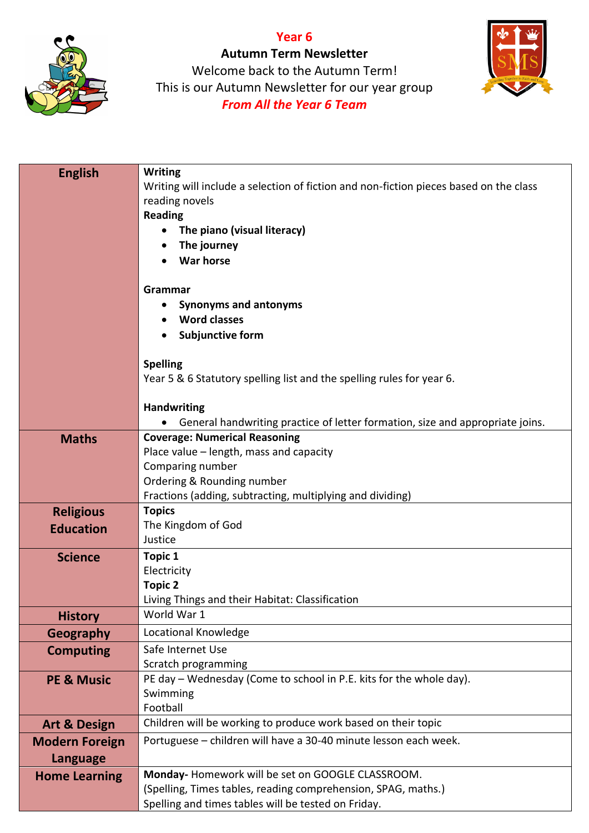



**Autumn Term Newsletter** Welcome back to the Autumn Term! This is our Autumn Newsletter for our year group *From All the Year 6 Team*



| <b>English</b>                           | <b>Writing</b><br>Writing will include a selection of fiction and non-fiction pieces based on the class<br>reading novels<br><b>Reading</b><br>The piano (visual literacy)<br>The journey<br><b>War horse</b><br>Grammar<br><b>Synonyms and antonyms</b><br><b>Word classes</b><br><b>Subjunctive form</b><br><b>Spelling</b><br>Year 5 & 6 Statutory spelling list and the spelling rules for year 6.<br><b>Handwriting</b> |
|------------------------------------------|------------------------------------------------------------------------------------------------------------------------------------------------------------------------------------------------------------------------------------------------------------------------------------------------------------------------------------------------------------------------------------------------------------------------------|
|                                          | General handwriting practice of letter formation, size and appropriate joins.                                                                                                                                                                                                                                                                                                                                                |
| <b>Maths</b>                             | <b>Coverage: Numerical Reasoning</b><br>Place value – length, mass and capacity<br>Comparing number<br>Ordering & Rounding number<br>Fractions (adding, subtracting, multiplying and dividing)                                                                                                                                                                                                                               |
| <b>Religious</b>                         | <b>Topics</b>                                                                                                                                                                                                                                                                                                                                                                                                                |
| <b>Education</b>                         | The Kingdom of God<br>Justice                                                                                                                                                                                                                                                                                                                                                                                                |
| <b>Science</b>                           | <b>Topic 1</b><br>Electricity<br><b>Topic 2</b><br>Living Things and their Habitat: Classification                                                                                                                                                                                                                                                                                                                           |
| <b>History</b>                           | World War 1                                                                                                                                                                                                                                                                                                                                                                                                                  |
| <b>Geography</b>                         | Locational Knowledge                                                                                                                                                                                                                                                                                                                                                                                                         |
| <b>Computing</b>                         | Safe Internet Use<br>Scratch programming                                                                                                                                                                                                                                                                                                                                                                                     |
| <b>PE &amp; Music</b>                    | PE day - Wednesday (Come to school in P.E. kits for the whole day).<br>Swimming<br>Football                                                                                                                                                                                                                                                                                                                                  |
| <b>Art &amp; Design</b>                  | Children will be working to produce work based on their topic                                                                                                                                                                                                                                                                                                                                                                |
| <b>Modern Foreign</b><br><b>Language</b> | Portuguese - children will have a 30-40 minute lesson each week.                                                                                                                                                                                                                                                                                                                                                             |
| <b>Home Learning</b>                     | Monday-Homework will be set on GOOGLE CLASSROOM.<br>(Spelling, Times tables, reading comprehension, SPAG, maths.)<br>Spelling and times tables will be tested on Friday.                                                                                                                                                                                                                                                     |